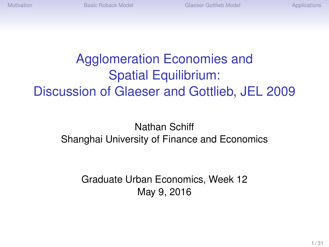# Agglomeration Economies and Spatial Equilibrium: Discussion of Glaeser and Gottlieb, JEL 2009

#### Nathan Schiff Shanghai University of Finance and Economics

Graduate Urban Economics, Week 12 May 9, 2016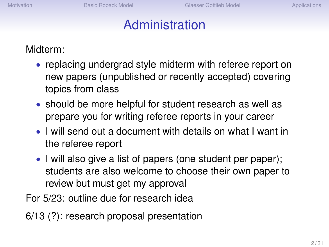# Administration

Midterm:

- replacing undergrad style midterm with referee report on new papers (unpublished or recently accepted) covering topics from class
- should be more helpful for student research as well as prepare you for writing referee reports in your career
- I will send out a document with details on what I want in the referee report
- I will also give a list of papers (one student per paper); students are also welcome to choose their own paper to review but must get my approval

For 5/23: outline due for research idea

6/13 (?): research proposal presentation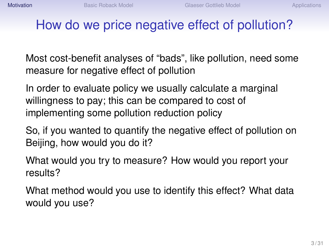# <span id="page-2-0"></span>How do we price negative effect of pollution?

Most cost-benefit analyses of "bads", like pollution, need some measure for negative effect of pollution

In order to evaluate policy we usually calculate a marginal willingness to pay; this can be compared to cost of implementing some pollution reduction policy

So, if you wanted to quantify the negative effect of pollution on Beijing, how would you do it?

What would you try to measure? How would you report your results?

What method would you use to identify this effect? What data would you use?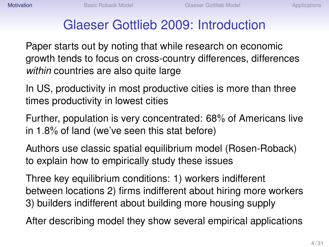## Glaeser Gottlieb 2009: Introduction

Paper starts out by noting that while research on economic growth tends to focus on cross-country differences, differences *within* countries are also quite large

In US, productivity in most productive cities is more than three times productivity in lowest cities

Further, population is very concentrated: 68% of Americans live in 1.8% of land (we've seen this stat before)

Authors use classic spatial equilibrium model (Rosen-Roback) to explain how to empirically study these issues

Three key equilibrium conditions: 1) workers indifferent between locations 2) firms indifferent about hiring more workers 3) builders indifferent about building more housing supply

After describing model they show several empirical applications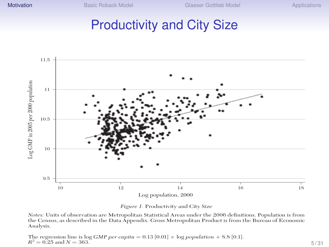#### Productivity and City Size



*Figure 1.* Productivity and City Size

*Notes:* Units of observation are Metropolitan Statistical Areas under the 2006 definitions. Population is from the Census, as described in the Data Appendix. Gross Metropolitan Product is from the Bureau of Economic Analysis.

The regression line is log *GMP per capita*  $= 0.13$  [0.01]  $\times$  log *population*  $+ 8.8$  [0.1].  $R^2 = 0.25$  and  $N = 363.$  5/31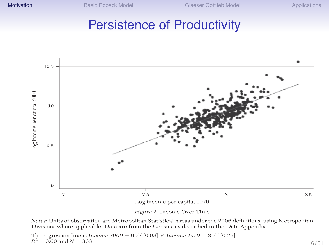#### Persistence of Productivity





*Notes:* Units of observation are Metropolitan Statistical Areas under the 2006 definitions, using Metropolitan Divisions where applicable. Data are from the Census, as described in the Data Appendix.

The regression line is *Income 2000* = 0.77 [0.03] × *Income 1970* + 3.75 [0.26].  $R^2 = 0.60$  and  $N = 363$ .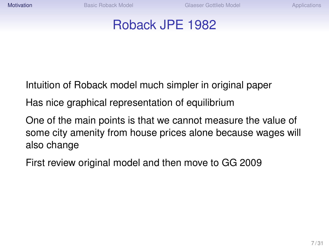#### Roback JPE 1982

Intuition of Roback model much simpler in original paper

Has nice graphical representation of equilibrium

One of the main points is that we cannot measure the value of some city amenity from house prices alone because wages will also change

First review original model and then move to GG 2009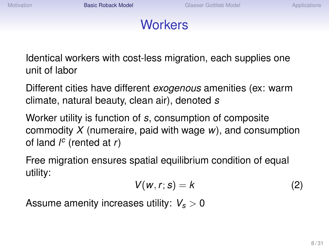# **Workers**

<span id="page-7-0"></span>Identical workers with cost-less migration, each supplies one unit of labor

Different cities have different *exogenous* amenities (ex: warm climate, natural beauty, clean air), denoted *s*

Worker utility is function of *s*, consumption of composite commodity *X* (numeraire, paid with wage *w*), and consumption of land *l c* (rented at *r*)

Free migration ensures spatial equilibrium condition of equal utility:

$$
V(w, r; s) = k \tag{2}
$$

Assume amenity increases utility: *V<sup>s</sup>* > 0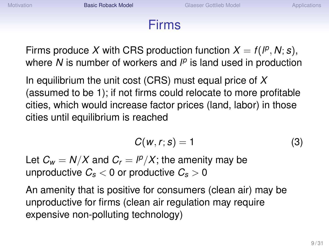#### Firms

Firms produce X with CRS production function  $X = f(P, N; s)$ , where *N* is number of workers and  $l^p$  is land used in production

In equilibrium the unit cost (CRS) must equal price of *X* (assumed to be 1); if not firms could relocate to more profitable cities, which would increase factor prices (land, labor) in those cities until equilibrium is reached

$$
C(w, r; s) = 1 \tag{3}
$$

Let  $C_w = N/X$  and  $C_r = \frac{P}{X}$ ; the amenity may be unproductive  $C_s < 0$  or productive  $C_s > 0$ 

An amenity that is positive for consumers (clean air) may be unproductive for firms (clean air regulation may require expensive non-polluting technology)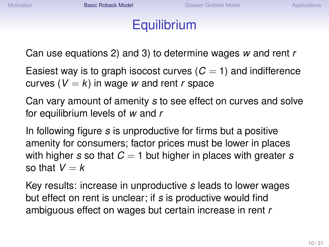## **Equilibrium**

Can use equations 2) and 3) to determine wages *w* and rent *r*

Easiest way is to graph isocost curves  $(C = 1)$  and indifference curves  $(V = k)$  in wage *w* and rent *r* space

Can vary amount of amenity *s* to see effect on curves and solve for equilibrium levels of *w* and *r*

In following figure *s* is unproductive for firms but a positive amenity for consumers; factor prices must be lower in places with higher *s* so that *C* = 1 but higher in places with greater *s* so that  $V = k$ 

Key results: increase in unproductive *s* leads to lower wages but effect on rent is unclear; if *s* is productive would find ambiguous effect on wages but certain increase in rent *r*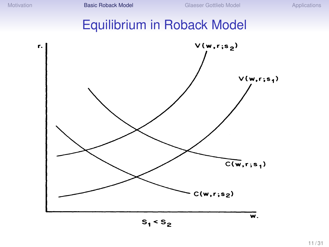# Equilibrium in Roback Model

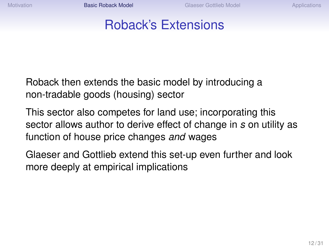## Roback's Extensions

Roback then extends the basic model by introducing a non-tradable goods (housing) sector

This sector also competes for land use; incorporating this sector allows author to derive effect of change in *s* on utility as function of house price changes *and* wages

Glaeser and Gottlieb extend this set-up even further and look more deeply at empirical implications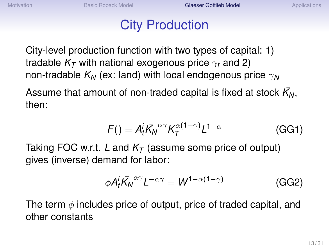## City Production

<span id="page-12-0"></span>City-level production function with two types of capital: 1) tradable  $K<sub>T</sub>$  with national exogenous price  $\gamma_t$  and 2) non-tradable *K<sup>N</sup>* (ex: land) with local endogenous price γ*<sup>N</sup>*

Assume that amount of non-traded capital is fixed at stock  $\bar{\kappa_{\sf N}},$ then:

$$
F() = A_t^i \overline{K_N}^{\alpha \gamma} K_T^{\alpha (1 - \gamma)} L^{1 - \alpha}
$$
 (GG1)

Taking FOC w.r.t. *L* and *K<sup>T</sup>* (assume some price of output) gives (inverse) demand for labor:

$$
\phi A_t^i \bar{K_N}^{\alpha \gamma} L^{-\alpha \gamma} = W^{1-\alpha(1-\gamma)} \tag{GG2}
$$

The term  $\phi$  includes price of output, price of traded capital, and other constants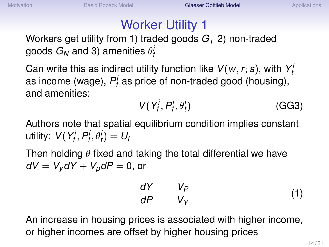# Worker Utility 1

Workers get utility from 1) traded goods *G<sup>T</sup>* 2) non-traded goods  $G_N$  and 3) amenities  $\theta_l^i$ 

Can write this as indirect utility function like  $V(w, r; s)$ , with  $Y_t$ as income (wage),  $P_t^i$  as price of non-traded good (housing), and amenities:

$$
V(Y_t^i, P_t^i, \theta_t^i) \tag{GG3}
$$

Authors note that spatial equilibrium condition implies constant  $V(Y_t^i, P_t^i, \theta_t^i) = U_t$ 

Then holding  $\theta$  fixed and taking the total differential we have  $dV = V_v dY + V_p dP = 0$ , or

$$
\frac{dY}{dP} = -\frac{V_P}{V_Y} \tag{1}
$$

An increase in housing prices is associated with higher income, or higher incomes are offset by higher housing prices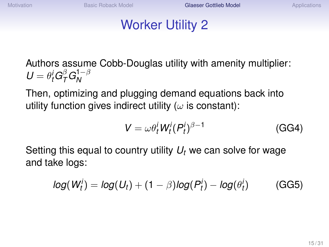# Worker Utility 2

Authors assume Cobb-Douglas utility with amenity multiplier:  $U = \theta_t^i G_T^{\beta} G_N^{1-\beta}$ *N*

Then, optimizing and plugging demand equations back into utility function gives indirect utility ( $\omega$  is constant):

$$
V = \omega \theta_t^i W_t^i (P_t^i)^{\beta - 1}
$$
 (GG4)

Setting this equal to country utility *U<sup>t</sup>* we can solve for wage and take logs:

$$
log(W_t^i) = log(U_t) + (1 - \beta)log(P_t^i) - log(\theta_t^i)
$$
 (GG5)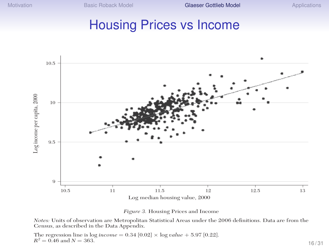#### Housing Prices vs Income





*Notes:* Units of observation are Metropolitan Statistical Areas under the 2006 definitions. Data are from the Census, as described in the Data Appendix.

The regression line is  $log income = 0.34 [0.02] \times log value + 5.97 [0.22]$ .  $R^2 = 0.46$  and  $N = 363$ . 16/31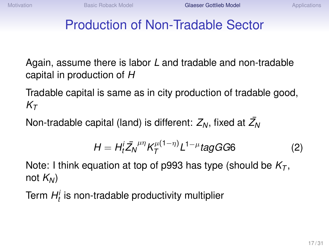# Production of Non-Tradable Sector

Again, assume there is labor *L* and tradable and non-tradable capital in production of *H*

Tradable capital is same as in city production of tradable good,  $K_{\mathcal{T}}$ 

Non-tradable capital (land) is different:  $Z_N$ , fixed at  $\bar{\mathcal{Z}_N}$ 

$$
H = H_t^i \bar{Z_N}^{\mu\eta} K_T^{\mu(1-\eta)} L^{1-\mu} \text{tagGG6} \tag{2}
$$

Note: I think equation at top of p993 has type (should be *K<sup>T</sup>* , not  $K_N$ )

Term *H i t* is non-tradable productivity multiplier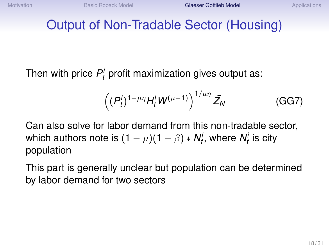## Output of Non-Tradable Sector (Housing)

Then with price  $P_t^i$  profit maximization gives output as:

$$
\left((P_t^i)^{1-\mu\eta}H_t^iW^{(\mu-1)}\right)^{1/\mu\eta}\bar{Z}_N\tag{GG7}
$$

Can also solve for labor demand from this non-tradable sector, which authors note is  $(1 - \mu)(1 - \beta) * \mathsf{N}_t^i$ , where  $\mathsf{N}_t^i$  is city population

This part is generally unclear but population can be determined by labor demand for two sectors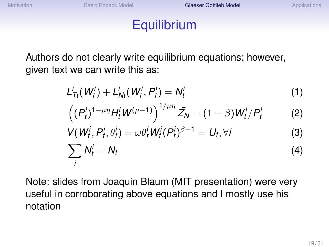*L*

# **Equilibrium**

Authors do not clearly write equilibrium equations; however, given text we can write this as:

$$
L_{\text{Tr}}^i(W_t^i) + L_{\text{N}t}^i(W_t^i, P_t^i) = N_t^i \tag{1}
$$

$$
((P_t^i)^{1-\mu\eta}H_t^iW^{(\mu-1)})^{1/\mu\eta}\bar{Z}_N=(1-\beta)W_t^i/P_t^i
$$
 (2)

$$
V(W_t^i, P_t^i, \theta_t^i) = \omega \theta_t^i W_t^i (P_t^i)^{\beta - 1} = U_t, \forall i
$$
 (3)

$$
\sum_{i} N_t^i = N_t \tag{4}
$$

Note: slides from Joaquin Blaum (MIT presentation) were very useful in corroborating above equations and I mostly use his notation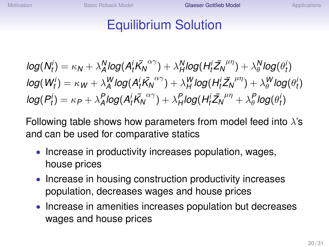## Equilibrium Solution

$$
log(N_t^i) = \kappa_N + \lambda_A^N log(A_t^i \bar{K_N}^{\alpha\gamma}) + \lambda_H^N log(H_t^i \bar{Z_N}^{\mu\eta}) + \lambda_\theta^N log(\theta_t^i)
$$
  
\n
$$
log(W_t^i) = \kappa_W + \lambda_A^W log(A_t^i \bar{K_N}^{\alpha\gamma}) + \lambda_H^W log(H_t^i \bar{Z_N}^{\mu\eta}) + \lambda_\theta^W log(\theta_t^i)
$$
  
\n
$$
log(P_t^i) = \kappa_P + \lambda_A^P log(A_t^i \bar{K_N}^{\alpha\gamma}) + \lambda_H^P log(H_t^i \bar{Z_N}^{\mu\eta} + \lambda_\theta^P log(\theta_t^i))
$$

Following table shows how parameters from model feed into  $\lambda$ 's and can be used for comparative statics

- Increase in productivity increases population, wages, house prices
- Increase in housing construction productivity increases population, decreases wages and house prices
- Increase in amenities increases population but decreases wages and house prices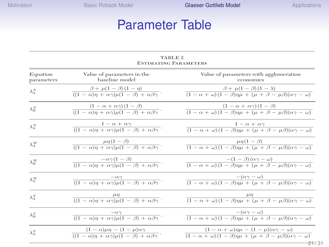# Parameter Table  $\begin{array}{l} \mathrm{Glaser}\ \text{Gottlie}\\ \text{Here}\ \text{Table}\ \end{array}$

| <b>ESTIMATING PARAMETERS</b>        |                                                                                                                    |                                                                                                                                                                                                                          |  |  |  |  |  |
|-------------------------------------|--------------------------------------------------------------------------------------------------------------------|--------------------------------------------------------------------------------------------------------------------------------------------------------------------------------------------------------------------------|--|--|--|--|--|
| Equation<br>parameters              | Value of parameters in the<br>baseline model                                                                       | Value of parameters with agglomeration<br>economies<br>$\beta + \mu(1-\beta)(1-\lambda)$<br>$\frac{1}{(1 - \alpha + \omega)(1 - \beta)\eta\mu + (\mu + \beta - \mu\beta)(\alpha\gamma - \omega)}$                        |  |  |  |  |  |
| $\lambda^N_{\scriptscriptstyle{A}}$ | $\beta + \mu(1-\beta)(1-\eta)$<br>$\frac{1}{((1 - \alpha)\eta + \alpha\gamma)\mu(1 - \beta) + \alpha\beta\gamma}.$ |                                                                                                                                                                                                                          |  |  |  |  |  |
| $\lambda_H^N$                       | $\frac{(1-\alpha+\alpha\gamma)(1-\beta)}{((1-\alpha)\eta+\alpha\gamma)\mu(1-\beta)+\alpha\beta\gamma}.$            | $\frac{(1-\alpha+\alpha\gamma)(1-\beta)}{(1-\alpha+\omega)(1-\beta)\eta\mu+(\mu+\beta-\mu\beta)(\alpha\gamma-\omega)}$                                                                                                   |  |  |  |  |  |
| $\lambda_a^N$                       | $\frac{1-\alpha+\alpha\gamma}{((1-\alpha)\eta+\alpha\gamma)\mu(1-\beta)+\alpha\beta\gamma}.$                       | $1-\alpha+\alpha\gamma$<br>$\frac{1}{(1 - \alpha + \omega)(1 - \beta)\eta\mu + (\mu + \beta - \mu\beta)(\alpha\gamma - \omega)}$                                                                                         |  |  |  |  |  |
| $\lambda_{A}^{W}$                   | $\frac{\mu\eta(1-\beta)}{((1-\alpha)\eta+\alpha\gamma)\mu(1-\beta)+\alpha\beta\gamma}.$                            | $\frac{\mu\eta(1-\beta)}{(1-\alpha+\omega)(1-\beta)\eta\mu+(\mu+\beta-\mu\beta)(\alpha\gamma-\omega)}$                                                                                                                   |  |  |  |  |  |
| $\lambda_H^W$                       | $\frac{-\alpha\gamma(1-\beta)}{((1-\alpha)\eta+\alpha\gamma)\mu(1-\beta)+\alpha\beta\gamma}.$                      | $\frac{-(1-\beta)(\alpha\gamma-\omega)}{(1-\alpha+\omega)(1-\beta)\eta\mu+(\mu+\beta-\mu\beta)(\alpha\gamma-\omega)}$                                                                                                    |  |  |  |  |  |
| $\lambda_{\theta}^{W}$              | $\frac{-\alpha\gamma}{((1-\alpha)\eta+\alpha\gamma)\mu(1-\beta)+\alpha\beta\gamma}.$                               | $\frac{-(\alpha\gamma-\omega)}{(1-\alpha+\omega)(1-\beta)\eta\mu+(\mu+\beta-\mu\beta)(\alpha\gamma-\omega)}$                                                                                                             |  |  |  |  |  |
| $\lambda_A^P$                       | $\frac{\mu\eta}{((1-\alpha)\eta+\alpha\gamma)\mu(1-\beta)+\alpha\beta\gamma}.$                                     | $\frac{\mu\eta}{(1-\alpha+\omega)(1-\beta)\eta\mu+(\mu+\beta-\mu\beta)(\alpha\gamma-\omega)}$                                                                                                                            |  |  |  |  |  |
| $\lambda_H^P$                       | $\frac{-\alpha\gamma}{((1-\alpha)\eta+\alpha\gamma)\mu(1-\beta)+\alpha\beta\gamma}.$                               | $\frac{-(\alpha\gamma-\omega)}{(1-\alpha+\omega)(1-\beta)\eta\mu+(\mu+\beta-\mu\beta)(\alpha\gamma-\omega)}$                                                                                                             |  |  |  |  |  |
| $\lambda_a^P$                       | $\frac{(1-\alpha)\mu\eta-(1-\mu)\alpha\gamma}{((1-\alpha)\eta+\alpha\gamma)\mu(1-\beta)+\alpha\beta\gamma}.$       | $(1 - \alpha + \omega)\eta\mu - (1 - \mu)(\alpha\gamma - \omega)$<br>$\frac{(1 - \alpha + \omega)(1 - \beta)\eta\mu + (\mu + \beta - \mu\beta)(\alpha\gamma - \omega)}{(\mu + \beta - \mu\beta)(\alpha\gamma - \omega)}$ |  |  |  |  |  |
|                                     |                                                                                                                    | <del>21/</del> 31                                                                                                                                                                                                        |  |  |  |  |  |

TABLE 2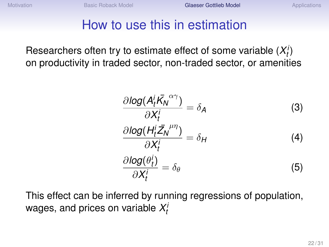# How to use this in estimation

Researchers often try to estimate effect of some variable  $(X_t^i)$ on productivity in traded sector, non-traded sector, or amenities

$$
\frac{\partial \log(A_t^i \bar{K_N}^{\alpha \gamma})}{\partial X_t^i} = \delta_A \tag{3}
$$
\n
$$
\frac{\partial \log(A_t^i \bar{Z_N}^{\mu \eta})}{\partial X_t^i} = \delta_H \tag{4}
$$
\n
$$
\frac{\partial \log(\theta_t^i)}{\partial X_t^i} = \delta_\theta \tag{5}
$$

This effect can be inferred by running regressions of population, wages, and prices on variable  $X_t^i$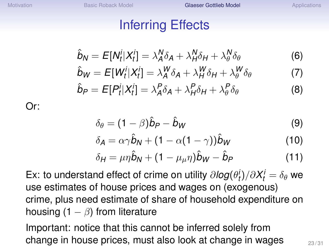# Inferring Effects

$$
\hat{b}_N = E[N_t^i | X_t^i] = \lambda_A^N \delta_A + \lambda_H^N \delta_H + \lambda_\theta^N \delta_\theta \tag{6}
$$

$$
\hat{b}_W = E[W_t^i | X_t^i] = \lambda_A^W \delta_A + \lambda_H^W \delta_H + \lambda_\theta^W \delta_\theta \tag{7}
$$

$$
\hat{b}_P = E[P_t^i | X_t^i] = \lambda_A^P \delta_A + \lambda_H^P \delta_H + \lambda_\theta^P \delta_\theta \tag{8}
$$

Or:

$$
\delta_{\theta} = (1 - \beta)\hat{b}_{P} - \hat{b}_{W} \tag{9}
$$

$$
\delta_{A} = \alpha \gamma \hat{b}_{N} + (1 - \alpha (1 - \gamma)) \hat{b}_{W}
$$
 (10)

$$
\delta_H = \mu \eta \hat{\mathbf{b}}_N + (1 - \mu_\mu \eta) \hat{\mathbf{b}}_W - \hat{\mathbf{b}}_P \tag{11}
$$

Ex: to understand effect of crime on utility  $\partial log(\theta_t^i)/\partial X_t^i = \delta_\theta$  we use estimates of house prices and wages on (exogenous) crime, plus need estimate of share of household expenditure on housing  $(1 - \beta)$  from literature

Important: notice that this cannot be inferred solely from change in house prices, must also look at change in wages  $\frac{23/31}{23}$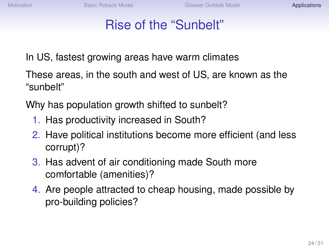# Rise of the "Sunbelt"

<span id="page-23-0"></span>In US, fastest growing areas have warm climates

These areas, in the south and west of US, are known as the "sunbelt"

Why has population growth shifted to sunbelt?

- 1. Has productivity increased in South?
- 2. Have political institutions become more efficient (and less corrupt)?
- 3. Has advent of air conditioning made South more comfortable (amenities)?
- 4. Are people attracted to cheap housing, made possible by pro-building policies?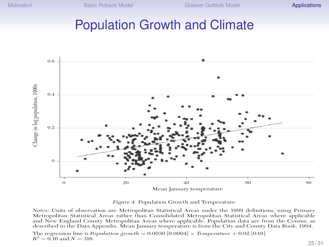#### Population Growth and Climate



*Figure 4.* Population Growth and Temperature

*Notes:* Units of observation are Metropolitan Statistical Areas under the 1999 definitions, using Primary Metropolitan Statistical Areas rather than Consolidated Metropolitan Statistical Areas where applicable and New England County Metropolitan Areas where applicable. Population data are from the Census, as described in the Data Appendix. Mean January temperature is from the City and County Data Book, 1994.

The regression line is *Population growth* =  $0.0030$  [ $0.0004$ ]  $\times$  *Temperature* + 0.02 [0.01].  $R^2 = 0.16$  and  $N = 316$ .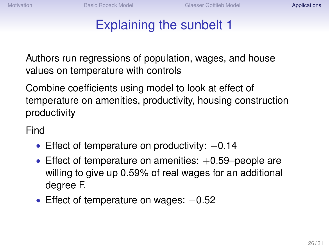# Explaining the sunbelt 1

Authors run regressions of population, wages, and house values on temperature with controls

Combine coefficients using model to look at effect of temperature on amenities, productivity, housing construction productivity

Find

- Effect of temperature on productivity: −0.14
- Effect of temperature on amenities:  $+0.59$ –people are willing to give up 0.59% of real wages for an additional degree F.
- Effect of temperature on wages:  $-0.52$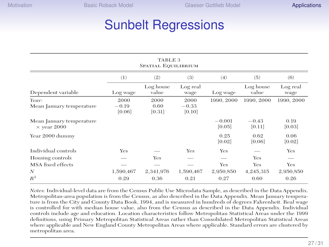# Sunbelt Regressions Glasser Gottlie<br> **Regressions**<br> **TABLE 3**

**TADID**O

| TADLE 9<br>SPATIAL EQUILIBRIUM                 |                           |                        |                           |                    |                    |                  |  |  |  |
|------------------------------------------------|---------------------------|------------------------|---------------------------|--------------------|--------------------|------------------|--|--|--|
|                                                | (1)                       | (2)                    | (3)                       | (4)                | (5)                | (6)              |  |  |  |
| Dependent variable                             | Log wage                  | Log house<br>value     | Log real<br>wage          | Log wage           | Log house<br>value | Log real<br>wage |  |  |  |
| Year:<br>Mean January temperature              | 2000<br>$-0.19$<br>[0.06] | 2000<br>0.60<br>[0.31] | 2000<br>$-0.33$<br>[0.10] | 1990, 2000         | 1990, 2000         | 1990, 2000       |  |  |  |
| Mean January temperature<br>$\times$ year 2000 |                           |                        |                           | $-0.001$<br>[0.05] | $-0.43$<br>[0.11]  | 0.19<br>[0.03]   |  |  |  |
| Year 2000 dummy                                |                           |                        |                           | 0.25<br>[0.02]     | 0.62<br>[0.06]     | 0.06<br>[0.02]   |  |  |  |
| Individual controls                            | Yes                       |                        | Yes                       | Yes                |                    | Yes              |  |  |  |
| Housing controls                               |                           | Yes                    |                           | __                 | Yes                | _                |  |  |  |
| MSA fixed effects                              |                           |                        |                           | Yes                | Yes                | Yes              |  |  |  |
| N                                              | 1,590,467                 | 2,341,976              | 1,590,467                 | 2,950,850          | 4,245,315          | 2,950,850        |  |  |  |
| $R^2$                                          | 0.29                      | 0.36                   | 0.21                      | 0.27               | 0.60               | 0.26             |  |  |  |

*Notes:* Individual-level data are from the Census Public Use Microdata Sample, as described in the Data Appendix. Metropolitan-area population is from the Census, as also described in the Data Appendix. Mean January temperature is from the City and County Data Book, 1994, and is measured in hundreds of degrees Fahrenheit. Real wage is controlled for with median house value, also from the Census as described in the Data Appendix. Individual controls include age and education. Location characteristics follow Metropolitan Statistical Areas under the 1999 definitions, using Primary Metropolitan Statistical Areas rather than Consolidated Metropolitan Statistical Areas where applicable and New England County Metropolitan Areas where applicable. Standard errors are clustered by metropolitan area.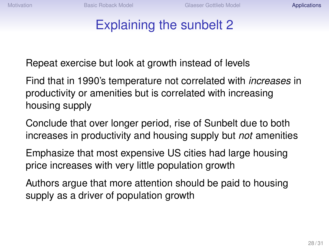# Explaining the sunbelt 2

Repeat exercise but look at growth instead of levels

Find that in 1990's temperature not correlated with *increases* in productivity or amenities but is correlated with increasing housing supply

Conclude that over longer period, rise of Sunbelt due to both increases in productivity and housing supply but *not* amenities

Emphasize that most expensive US cities had large housing price increases with very little population growth

Authors argue that more attention should be paid to housing supply as a driver of population growth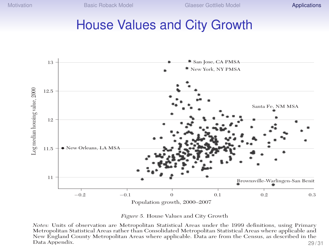#### House Values and City Growth





*Notes:* Units of observation are Metropolitan Statistical Areas under the 1999 definitions, using Primary Metropolitan Statistical Areas rather than Consolidated Metropolitan Statistical Areas where applicable and New England County Metropolitan Areas where applicable. Data are from the Census, as described in the Data Appendix. 29 / 31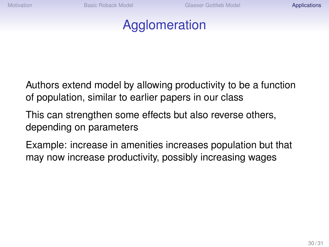## Agglomeration

Authors extend model by allowing productivity to be a function of population, similar to earlier papers in our class

This can strengthen some effects but also reverse others, depending on parameters

Example: increase in amenities increases population but that may now increase productivity, possibly increasing wages